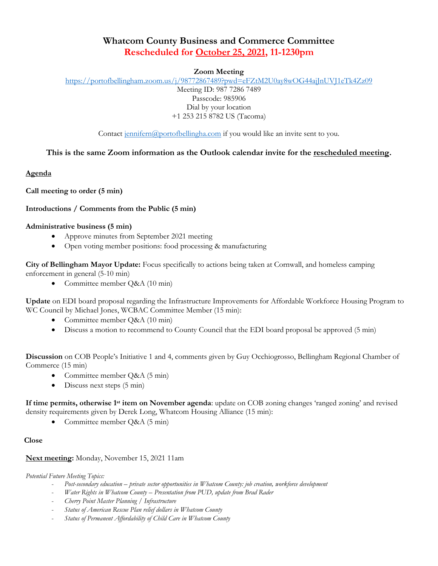# **Whatcom County Business and Commerce Committee Rescheduled for October 25, 2021, 11-1230pm**

## **Zoom Meeting**

<https://portofbellingham.zoom.us/j/98772867489?pwd=eFZtM2U0ay8wOG44ajJnUVJ1eTk4Zz09> Meeting ID: 987 7286 7489 Passcode: 985906 Dial by your location +1 253 215 8782 US (Tacoma)

Contact [jennifern@portofbellingha.com](mailto:jennifern@portofbellingha.com) if you would like an invite sent to you.

## **This is the same Zoom information as the Outlook calendar invite for the rescheduled meeting.**

**Agenda**

**Call meeting to order (5 min)**

## **Introductions / Comments from the Public (5 min)**

## **Administrative business (5 min)**

- Approve minutes from September 2021 meeting
- Open voting member positions: food processing & manufacturing

**City of Bellingham Mayor Update:** Focus specifically to actions being taken at Cornwall, and homeless camping enforcement in general (5-10 min)

• Committee member Q&A (10 min)

**Update** on EDI board proposal regarding the Infrastructure Improvements for Affordable Workforce Housing Program to WC Council by Michael Jones, WCBAC Committee Member (15 min):

- Committee member Q&A (10 min)
- Discuss a motion to recommend to County Council that the EDI board proposal be approved (5 min)

**Discussion** on COB People's Initiative 1 and 4, comments given by Guy Occhiogrosso, Bellingham Regional Chamber of Commerce (15 min)

- Committee member Q&A (5 min)
- Discuss next steps (5 min)

**If time permits, otherwise 1st item on November agenda**: update on COB zoning changes 'ranged zoning' and revised density requirements given by Derek Long, Whatcom Housing Alliance (15 min):

Committee member Q&A (5 min)

## **Close**

## **Next meeting:** Monday, November 15, 2021 11am

*Potential Future Meeting Topics:* 

- *Post-secondary education – private sector opportunities in Whatcom County: job creation, workforce development*
- *Water Rights in Whatcom County – Presentation from PUD, update from Brad Rader*
- *Cherry Point Master Planning / Infrastructure*
- *Status of American Rescue Plan relief dollars in Whatcom County*
- *Status of Permanent Affordability of Child Care in Whatcom County*